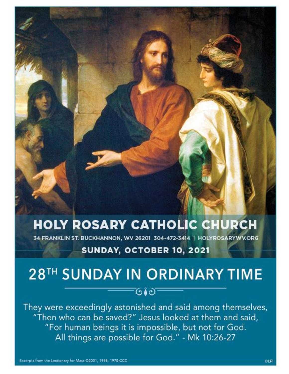# **HOLY ROSARY CATHOLIC CHURCH**

34 FRANKLIN ST. BUCKHANNON, WV 26201 304-472-3414 | HOLYROSARYWV.ORG

# SUNDAY, OCTOBER 10, 2021

# 28TH SUNDAY IN ORDINARY TIME

ত∙ত

They were exceedingly astonished and said among themselves, "Then who can be saved?" Jesus looked at them and said, "For human beings it is impossible, but not for God. All things are possible for God." - Mk 10:26-27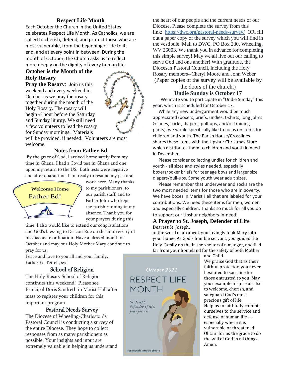# **Respect Life Month**

Each October the Church in the United States celebrates Respect Life Month. As Catholics, we are called to cherish, defend, and protect those who are most vulnerable, from the beginning of life to its end, and at every point in between. During the month of October, the Church asks us to reflect more deeply on the dignity of every human life.

# **October is the Month of the Holy Rosary**

**Pray the Rosary**: Join us this weekend and every weekend in October as we pray the rosary together during the month of the Holy Rosary. The rosary will begin ½ hour before the Saturday and Sunday liturgy. We still need a few volunteers to lead the rosary for Sunday mornings. Materials



will be provided, if needed. Volunteers are most welcome.

# **Notes from Father Ed**

By the grace of God, I arrived home safely from my time in Ghana. I had a Covid test in Ghana and one upon my return to the US. Both tests were negative and after quarantine, I am ready to resume my pastoral



work here. Many thanks to my parishioners, to our parish staff, and to Father John who kept the parish running in my absence. Thank you for your prayers during this

time. I also would like to extend our congratulations and God's blessing to Deacon Rue on the anniversary of his diaconate ordination. Have a blessed month of October and may our Holy Mother Mary continue to pray for us.

Peace and love to you all and your family, Father Ed Tetteh, svd

# School of Religion

The Holy Rosary School of Religion continues this weekend! Please see Principal Doris Sandreth in Marist Hall after mass to register your children for this important program.

# Pastoral Needs Survey

The Diocese of Wheeling-Charleston's Pastoral Council is conducting a survey of the entire Diocese. They hope to collect responses from as many parishioners as possible. Your insights and input are extremely valuable in helping us understand the heart of our people and the current needs of our Diocese. Please complete the survey from this link: <https://dwc.org/pastoral-needs-survey/> OR, fill out a paper copy of the survey which you will find in the vestibule. Mail to DWC, PO Box 230, Wheeling, WV 26003. We thank you in advance for completing this simple survey! May we all live out our calling to serve God and one another! With gratitude, the Diocesan Pastoral Council, including the Holy Rosary members--Cheryl Moore and John Weber (Paper copies of the survey will be available by

the doors of the church.) **Undie Sunday is October 17**

 We invite you to participate in "Undie Sunday" this year, which is scheduled for October 17.

 While any new undergarment would be much appreciated (boxers, briefs, undies, t-shirts, long johns & janes, socks, diapers, pull-ups, and/or training pants), we would specifically like to focus on items for children and youth. The Parish House/Crosslines shares these items with the Upshur Christmas Store which distributes them to children and youth in need in December.

 Please consider collecting undies for children and youth - all sizes and styles needed, especially boxers/boxer briefs for teenage boys and larger size diapers/pull-ups. Some youth wear adult sizes.

 Please remember that underwear and socks are the two most needed items for those who are in poverty. We have boxes in Marist Hall that are labeled for your contributions. We need these items for men, women and especially children. Thanks so much for all you do to support our Upshur neighbors-in-need!

#### **A Prayer to St. Joseph, Defender of Life**  Dearest St. Joseph,

at the word of an angel, you lovingly took Mary into your home. As God's humble servant, you guided the Holy Family on the in the shelter of a manger, and fled far from your homeland for the safety of both Mother

and Child.

We praise God that as their faithful protector, you never hesitated to sacrifice for those entrusted to you. May your example inspire us also to welcome, cherish, and safeguard God's most precious gift of life. Help us to faithfully commit ourselves to the service and defense of human life especially where it is vulnerable or threatened. Obtain for us the grace to do the will of God in all things. Amen.



October 2021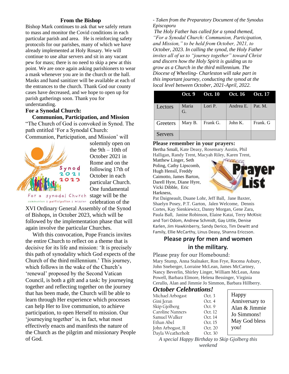### **From the Bishop**

Bishop Mark continues to ask that we safely return to mass and monitor the Covid conditions in each particular parish and area. He is reinforcing safety protocols for our parishes, many of which we have already implemented at Holy Rosary. We will continue to use altar servers and sit in any vacant pew for mass; there is no need to skip a pew at this point. We are once again asking parishioners to wear a mask whenever you are in the church or the hall. Masks and hand sanitizer will be available at each of the entrances to the church. Thank God our county cases have decreased, and we hope to open up for parish gatherings soon. Thank you for understanding.

#### **For a Synodal Church:**

#### **Communion, Participation, and Mission**

"The Church of God is convoked in Synod. The path entitled 'For a Synodal Church: Communion, Participation, and Mission' will



solemnly open on the  $9th - 10th$  of October 2021 in Rome and on the following 17th of October in each particular Church. One fundamental For a synodal Church stage will be the

communion | participation | mission celebration of the

XVI Ordinary General Assembly of the Synod of Bishops, in October 2023, which will be followed by the implementation phase that will again involve the particular Churches.

 With this convocation, Pope Francis invites the entire Church to reflect on a theme that is decisive for its life and mission: 'It is precisely this path of synodality which God expects of the Church of the third millennium.' This journey, which follows in the wake of the Church's 'renewal' proposed by the Second Vatican Council, is both a gift and a task: by journeying together and reflecting together on the journey that has been made, the Church will be able to learn through Her experience which processes can help Her to live communion, to achieve participation, to open Herself to mission. Our 'journeying together' is, in fact, what most effectively enacts and manifests the nature of the Church as the pilgrim and missionary People of God.

*- Taken from the Preparatory Document of the Synodus Episcoporu*

*The Holy Father has called for a synod themed, "For a Synodal Church: Communion, Participation, and Mission," to be held from October, 2021, to October, 2023. In calling the synod, the Holy Father invites all of us to "journey together" toward Christ and discern how the Holy Spirit is guiding us to grow as a Church in the third millennium. The Diocese of Wheeling- Charleston will take part in this important journey, conducting the synod at the local level between October, 2021-April, 2022.*

|                | Oct. 9      | Oct. 10 Oct. 16 Oct. 17 |           |          |
|----------------|-------------|-------------------------|-----------|----------|
| Lectors        | Maria<br>G. | Lori P.                 | Andrea E. | Pat. M.  |
| Greeters       | Mary B.     | Frank G.                | John K.   | Frank. G |
| <b>Servers</b> |             |                         |           |          |

#### **Please remember in your prayers:**

Bertha Small, Kate Deasy, Rosemary Austin, Phil Halligan, Randy Trent, Macyah Riley, Karen Trent,

Matthew Linger, Seth Poling, Cathy Lipscomb, Hugh Hensil, Freddy Caimotto, James Barton, Darell Hyre, Diane Hyre, Vicki Dibble, Eric Harkness,



Pat Daigneault, Duane Lohr, Jeff Ball, Jane Baxter, Shaelyn Posey, P.T. Garton, Jalen Welcome, Dennis Cortes, Kay Sienkiewicz, Danny Morgan, Gene Zara, Paula Ball, Janine Robinson, Elaine Katai, Terry McKisic and Tori Odom, Andrew Schmidt, Gay Little, Denise Karlen, Jim Hawkinberry, Sandy Derico, Tim Dewitt and Family, Ellie McCarthy, Linus Deasy, Shanna Ericcson.

# **Please pray for men and women in the military.**

#### Please pray for our Homebound:

Mary Stump, Anna Stalnaker, Ron Frye, Rocena Asbury, John Sneberger, Lorraine McLean, James McCartney, Nancy Beverlin, Shirley Linger, William McLean, Anna Powell, Barbara Elmore, Helena Bessinger, Virginia Cerullo, Alan and Jimmie Jo Simmon, Barbara Hillberry.

#### *October Celebrations!*

| Michael Arbogast       | Oct.3   | Happy          |
|------------------------|---------|----------------|
| Gini Jeran             | Oct. 4  | Anniversary to |
| Skip Gjolberg          | Oct. 9  | Alan & Jimmie  |
| Caroline Nanners       | Oct. 12 | Jo Simmons!    |
| Samuel Walker          | Oct. 14 |                |
| Ethan Abel             | Oct. 15 | May God bless  |
| John Arbogast, II      | Oct. 20 | you!           |
| .<br>Dayla Weatherholt | Oct. 30 |                |

*A special Happy Birthday to Skip Gjolberg this weekend*